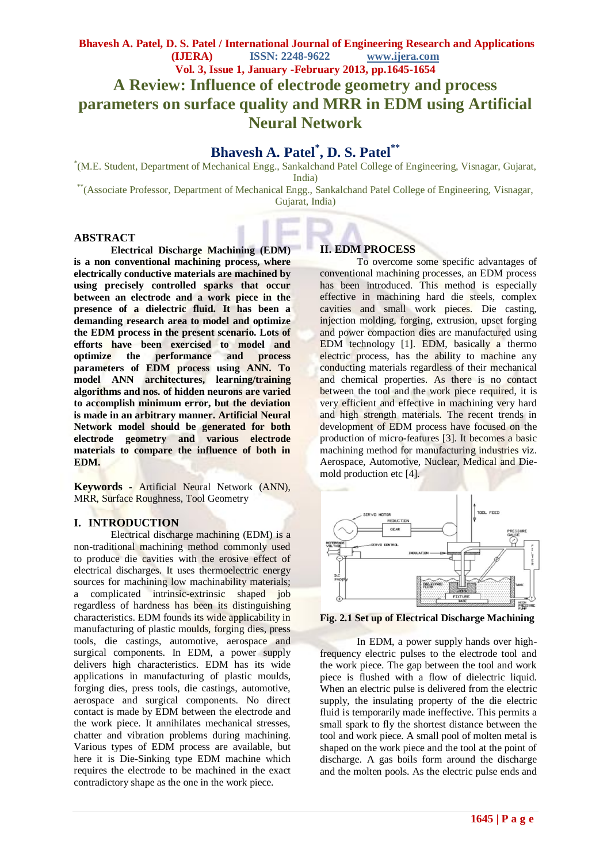### **Bhavesh A. Patel, D. S. Patel / International Journal of Engineering Research and Applications (IJERA) ISSN: 2248-9622 www.ijera.com Vol. 3, Issue 1, January -February 2013, pp.1645-1654 A Review: Influence of electrode geometry and process parameters on surface quality and MRR in EDM using Artificial Neural Network**

## **Bhavesh A. Patel\* , D. S. Patel\*\***

\* (M.E. Student, Department of Mechanical Engg., Sankalchand Patel College of Engineering, Visnagar, Gujarat, India)

\*\*(Associate Professor, Department of Mechanical Engg., Sankalchand Patel College of Engineering, Visnagar, Gujarat, India)

#### **ABSTRACT**

**Electrical Discharge Machining (EDM) is a non conventional machining process, where electrically conductive materials are machined by using precisely controlled sparks that occur between an electrode and a work piece in the presence of a dielectric fluid. It has been a demanding research area to model and optimize the EDM process in the present scenario. Lots of efforts have been exercised to model and optimize the performance and process parameters of EDM process using ANN. To model ANN architectures, learning/training algorithms and nos. of hidden neurons are varied to accomplish minimum error, but the deviation is made in an arbitrary manner. Artificial Neural Network model should be generated for both electrode geometry and various electrode materials to compare the influence of both in EDM.**

**Keywords** *-* Artificial Neural Network (ANN), MRR, Surface Roughness, Tool Geometry

#### **I. INTRODUCTION**

Electrical discharge machining (EDM) is a non-traditional machining method commonly used to produce die cavities with the erosive effect of electrical discharges. It uses thermoelectric energy sources for machining low machinability materials; a complicated intrinsic-extrinsic shaped job regardless of hardness has been its distinguishing characteristics. EDM founds its wide applicability in manufacturing of plastic moulds, forging dies, press tools, die castings, automotive, aerospace and surgical components. In EDM, a power supply delivers high characteristics. EDM has its wide applications in manufacturing of plastic moulds, forging dies, press tools, die castings, automotive, aerospace and surgical components. No direct contact is made by EDM between the electrode and the work piece. It annihilates mechanical stresses, chatter and vibration problems during machining. Various types of EDM process are available, but here it is Die-Sinking type EDM machine which requires the electrode to be machined in the exact contradictory shape as the one in the work piece.

#### **II. EDM PROCESS**

To overcome some specific advantages of conventional machining processes, an EDM process has been introduced. This method is especially effective in machining hard die steels, complex cavities and small work pieces. Die casting, injection molding, forging, extrusion, upset forging and power compaction dies are manufactured using EDM technology [1]. EDM, basically a thermo electric process, has the ability to machine any conducting materials regardless of their mechanical and chemical properties. As there is no contact between the tool and the work piece required, it is very efficient and effective in machining very hard and high strength materials. The recent trends in development of EDM process have focused on the production of micro-features [3]. It becomes a basic machining method for manufacturing industries viz. Aerospace, Automotive, Nuclear, Medical and Diemold production etc [4].



**Fig. 2.1 Set up of Electrical Discharge Machining**

In EDM, a power supply hands over highfrequency electric pulses to the electrode tool and the work piece. The gap between the tool and work piece is flushed with a flow of dielectric liquid. When an electric pulse is delivered from the electric supply, the insulating property of the die electric fluid is temporarily made ineffective. This permits a small spark to fly the shortest distance between the tool and work piece. A small pool of molten metal is shaped on the work piece and the tool at the point of discharge. A gas boils form around the discharge and the molten pools. As the electric pulse ends and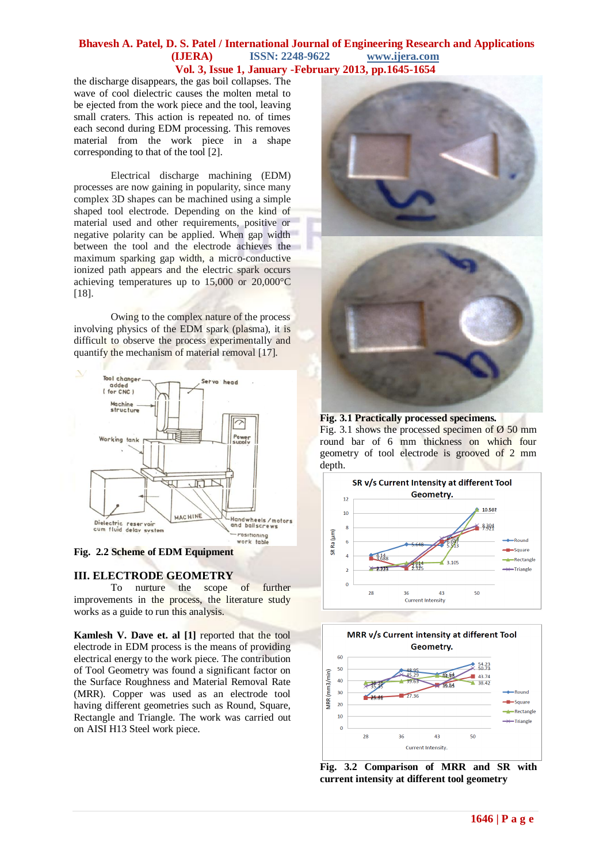the discharge disappears, the gas boil collapses. The wave of cool dielectric causes the molten metal to be ejected from the work piece and the tool, leaving small craters. This action is repeated no. of times each second during EDM processing. This removes material from the work piece in a shape corresponding to that of the tool [2].

Electrical discharge machining (EDM) processes are now gaining in popularity, since many complex 3D shapes can be machined using a simple shaped tool electrode. Depending on the kind of material used and other requirements, positive or negative polarity can be applied. When gap width between the tool and the electrode achieves the maximum sparking gap width, a micro-conductive ionized path appears and the electric spark occurs achieving temperatures up to 15,000 or 20*,*000°C [18].

Owing to the complex nature of the process involving physics of the EDM spark (plasma), it is difficult to observe the process experimentally and quantify the mechanism of material removal [17].



#### **Fig. 2.2 Scheme of EDM Equipment**

#### **III. ELECTRODE GEOMETRY**

To nurture the scope of further improvements in the process, the literature study works as a guide to run this analysis.

**Kamlesh V. Dave et. al [1]** reported that the tool electrode in EDM process is the means of providing electrical energy to the work piece. The contribution of Tool Geometry was found a significant factor on the Surface Roughness and Material Removal Rate (MRR). Copper was used as an electrode tool having different geometries such as Round, Square, Rectangle and Triangle. The work was carried out on AISI H13 Steel work piece.





#### **Fig. 3.1 Practically processed specimens.**

Fig. 3.1 shows the processed specimen of  $\varnothing$  50 mm round bar of 6 mm thickness on which four geometry of tool electrode is grooved of 2 mm depth.





**Fig. 3.2 Comparison of MRR and SR with current intensity at different tool geometry**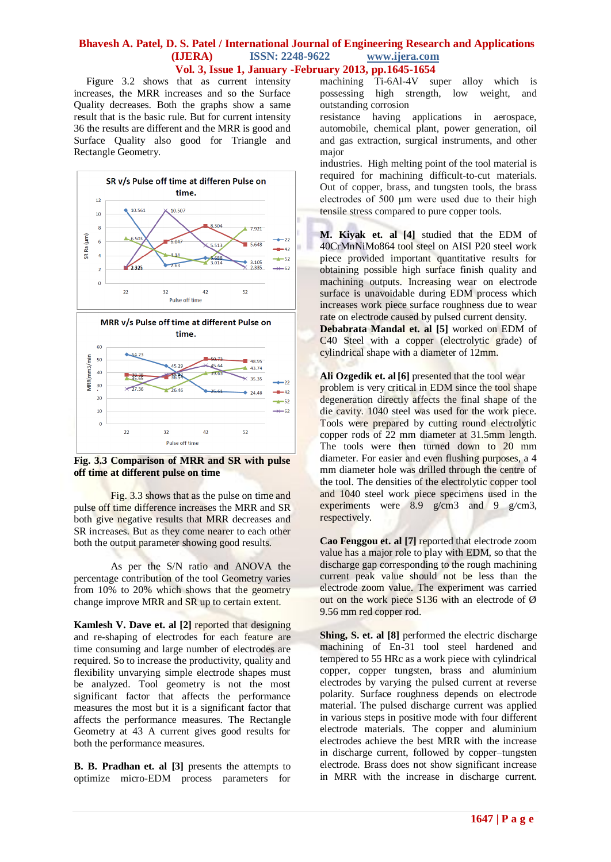Figure 3.2 shows that as current intensity increases, the MRR increases and so the Surface Quality decreases. Both the graphs show a same result that is the basic rule. But for current intensity 36 the results are different and the MRR is good and Surface Quality also good for Triangle and Rectangle Geometry.



**Fig. 3.3 Comparison of MRR and SR with pulse off time at different pulse on time**

Fig. 3.3 shows that as the pulse on time and pulse off time difference increases the MRR and SR both give negative results that MRR decreases and SR increases. But as they come nearer to each other both the output parameter showing good results.

As per the S/N ratio and ANOVA the percentage contribution of the tool Geometry varies from 10% to 20% which shows that the geometry change improve MRR and SR up to certain extent.

**Kamlesh V. Dave et. al [2]** reported that designing and re-shaping of electrodes for each feature are time consuming and large number of electrodes are required. So to increase the productivity, quality and flexibility unvarying simple electrode shapes must be analyzed. Tool geometry is not the most significant factor that affects the performance measures the most but it is a significant factor that affects the performance measures. The Rectangle Geometry at 43 A current gives good results for both the performance measures.

**B. B. Pradhan et. al [3]** presents the attempts to optimize micro-EDM process parameters for machining Ti-6Al-4V super alloy which is possessing high strength, low weight, and outstanding corrosion

resistance having applications in aerospace, automobile, chemical plant, power generation, oil and gas extraction, surgical instruments, and other major

industries. High melting point of the tool material is required for machining difficult-to-cut materials. Out of copper, brass, and tungsten tools, the brass electrodes of 500 μm were used due to their high tensile stress compared to pure copper tools.

i **M. Kiyak et. al [4]** studied that the EDM of 40CrMnNiMo864 tool steel on AISI P20 steel work piece provided important quantitative results for obtaining possible high surface finish quality and machining outputs. Increasing wear on electrode surface is unavoidable during EDM process which increases work piece surface roughness due to wear rate on electrode caused by pulsed current density.

**Debabrata Mandal et. al [5]** worked on EDM of C40 Steel with a copper (electrolytic grade) of cylindrical shape with a diameter of 12mm.

Ali Ozgedik et. al [6] presented that the tool wear problem is very critical in EDM since the tool shape degeneration directly affects the final shape of the die cavity. 1040 steel was used for the work piece. Tools were prepared by cutting round electrolytic copper rods of 22 mm diameter at 31*.*5mm length. The tools were then turned down to 20 mm diameter. For easier and even flushing purposes, a 4 mm diameter hole was drilled through the centre of the tool. The densities of the electrolytic copper tool and 1040 steel work piece specimens used in the experiments were 8*.*9 g/cm3 and 9 g*/*cm3, respectively.

**Cao Fenggou et. al [7]** reported that electrode zoom value has a major role to play with EDM, so that the discharge gap corresponding to the rough machining current peak value should not be less than the electrode zoom value. The experiment was carried out on the work piece S136 with an electrode of Ø 9.56 mm red copper rod.

**Shing, S. et. al [8]** performed the electric discharge machining of En-31 tool steel hardened and tempered to 55 HRc as a work piece with cylindrical copper, copper tungsten, brass and aluminium electrodes by varying the pulsed current at reverse polarity. Surface roughness depends on electrode material. The pulsed discharge current was applied in various steps in positive mode with four different electrode materials. The copper and aluminium electrodes achieve the best MRR with the increase in discharge current, followed by copper–tungsten electrode. Brass does not show significant increase in MRR with the increase in discharge current.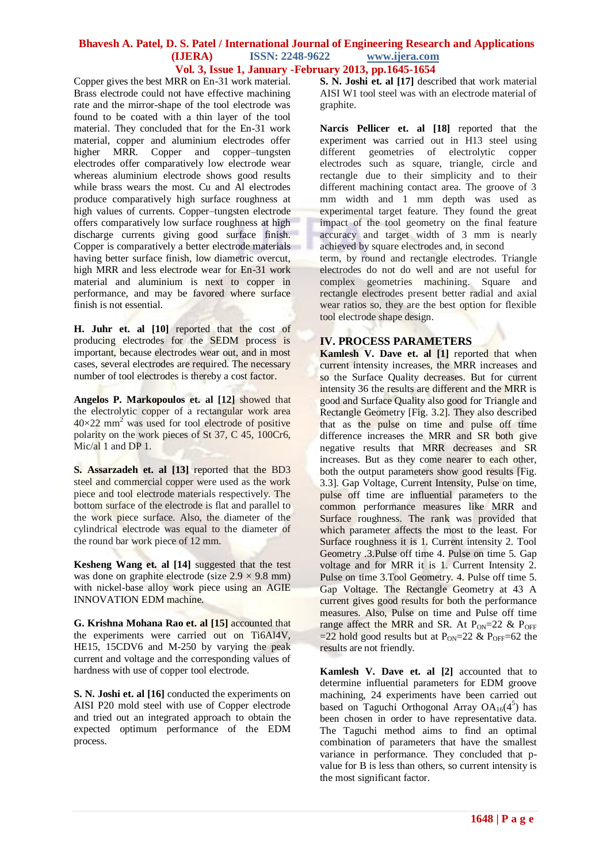Copper gives the best MRR on En-31 work material. Brass electrode could not have effective machining rate and the mirror-shape of the tool electrode was found to be coated with a thin layer of the tool material. They concluded that for the En-31 work material, copper and aluminium electrodes offer higher MRR. Copper and copper–tungsten electrodes offer comparatively low electrode wear whereas aluminium electrode shows good results while brass wears the most. Cu and Al electrodes produce comparatively high surface roughness at high values of currents. Copper–tungsten electrode offers comparatively low surface roughness at high discharge currents giving good surface finish. Copper is comparatively a better electrode materials having better surface finish, low diametric overcut, high MRR and less electrode wear for En-31 work material and aluminium is next to copper in performance, and may be favored where surface finish is not essential.

**H. Juhr et. al [10]** reported that the cost of producing electrodes for the SEDM process is important, because electrodes wear out, and in most cases, several electrodes are required. The necessary number of tool electrodes is thereby a cost factor.

**Angelos P. Markopoulos et. al [12]** showed that the electrolytic copper of a rectangular work area  $40\times22$  mm<sup>2</sup> was used for tool electrode of positive polarity on the work pieces of St 37, C 45, 100Cr6, Mic/al 1 and DP 1.

**S. Assarzadeh et. al [13]** reported that the BD3 steel and commercial copper were used as the work piece and tool electrode materials respectively. The bottom surface of the electrode is flat and parallel to the work piece surface. Also, the diameter of the cylindrical electrode was equal to the diameter of the round bar work piece of 12 mm.

**Kesheng Wang et. al [14]** suggested that the test was done on graphite electrode (size  $2.9 \times 9.8$  mm) with nickel-base alloy work piece using an AGIE INNOVATION EDM machine.

**G. Krishna Mohana Rao et. al [15]** accounted that the experiments were carried out on Ti6Al4V, HE15, 15CDV6 and M-250 by varying the peak current and voltage and the corresponding values of hardness with use of copper tool electrode.

**S. N. Joshi et. al [16]** conducted the experiments on AISI P20 mold steel with use of Copper electrode and tried out an integrated approach to obtain the expected optimum performance of the EDM process.

**S. N. Joshi et. al [17]** described that work material AISI W1 tool steel was with an electrode material of graphite.

**Narcis Pellicer et. al [18]** reported that the experiment was carried out in H13 steel using different geometries of electrolytic copper electrodes such as square, triangle, circle and rectangle due to their simplicity and to their different machining contact area. The groove of 3 mm width and 1 mm depth was used as experimental target feature. They found the great impact of the tool geometry on the final feature accuracy and target width of 3 mm is nearly achieved by square electrodes and, in second

term, by round and rectangle electrodes. Triangle electrodes do not do well and are not useful for complex geometries machining. Square and rectangle electrodes present better radial and axial wear ratios so, they are the best option for flexible tool electrode shape design.

#### **IV. PROCESS PARAMETERS**

**Kamlesh V. Dave et. al [1]** reported that when current intensity increases, the MRR increases and so the Surface Quality decreases. But for current intensity 36 the results are different and the MRR is good and Surface Quality also good for Triangle and Rectangle Geometry [Fig. 3.2]. They also described that as the pulse on time and pulse off time difference increases the MRR and SR both give negative results that MRR decreases and SR increases. But as they come nearer to each other, both the output parameters show good results [Fig. 3.3]. Gap Voltage, Current Intensity, Pulse on time, pulse off time are influential parameters to the common performance measures like MRR and Surface roughness. The rank was provided that which parameter affects the most to the least. For Surface roughness it is 1. Current intensity 2. Tool Geometry .3.Pulse off time 4. Pulse on time 5. Gap voltage and for MRR it is 1. Current Intensity 2. Pulse on time 3.Tool Geometry. 4. Pulse off time 5. Gap Voltage. The Rectangle Geometry at 43 A current gives good results for both the performance measures. Also, Pulse on time and Pulse off time range affect the MRR and SR. At  $P_{ON}=22$  &  $P_{OFF}$ =22 hold good results but at  $P_{ON}$ =22 &  $P_{OFF}$ =62 the results are not friendly.

**Kamlesh V. Dave et. al [2]** accounted that to determine influential parameters for EDM groove machining, 24 experiments have been carried out based on Taguchi Orthogonal Array  $OA_{16}(4^5)$  has been chosen in order to have representative data. The Taguchi method aims to find an optimal combination of parameters that have the smallest variance in performance. They concluded that pvalue for B is less than others, so current intensity is the most significant factor.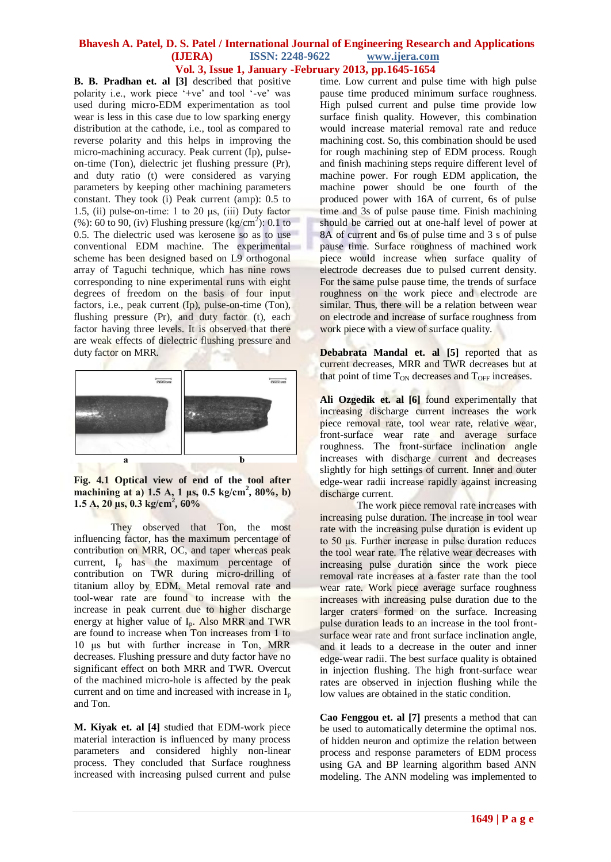**B. B. Pradhan et. al [3]** described that positive polarity i.e., work piece '+ve' and tool '-ve' was used during micro-EDM experimentation as tool wear is less in this case due to low sparking energy distribution at the cathode, i.e., tool as compared to reverse polarity and this helps in improving the micro-machining accuracy. Peak current (Ip), pulseon-time (Ton), dielectric jet flushing pressure (Pr), and duty ratio (t) were considered as varying parameters by keeping other machining parameters constant. They took (i) Peak current (amp): 0.5 to 1.5, (ii) pulse-on-time: 1 to 20  $\mu$ s, (iii) Duty factor (%): 60 to 90, (iv) Flushing pressure  $\frac{\text{kg/cm}^2}{\text{m}^2}$ : 0.1 to 0.5. The dielectric used was kerosene so as to use conventional EDM machine. The experimental scheme has been designed based on L9 orthogonal array of Taguchi technique, which has nine rows corresponding to nine experimental runs with eight degrees of freedom on the basis of four input factors, i.e., peak current (Ip), pulse-on-time (Ton), flushing pressure (Pr), and duty factor (t), each factor having three levels. It is observed that there are weak effects of dielectric flushing pressure and duty factor on MRR.



**Fig. 4.1 Optical view of end of the tool after**  machining at a) 1.5 A, 1 μs, 0.5 kg/cm<sup>2</sup>, 80%, b) **1.5 A, 20 μs, 0.3 kg/cm<sup>2</sup> , 60%**

They observed that Ton, the most influencing factor, has the maximum percentage of contribution on MRR, OC, and taper whereas peak current,  $I_p$  has the maximum percentage of contribution on TWR during micro-drilling of titanium alloy by EDM. Metal removal rate and tool-wear rate are found to increase with the increase in peak current due to higher discharge energy at higher value of  $I_p$ . Also MRR and TWR are found to increase when Ton increases from 1 to 10 μs but with further increase in Ton, MRR decreases. Flushing pressure and duty factor have no significant effect on both MRR and TWR. Overcut of the machined micro-hole is affected by the peak current and on time and increased with increase in  $I_p$ and Ton.

**M. Kiyak et. al [4]** studied that EDM-work piece material interaction is influenced by many process parameters and considered highly non-linear process. They concluded that Surface roughness increased with increasing pulsed current and pulse time. Low current and pulse time with high pulse pause time produced minimum surface roughness. High pulsed current and pulse time provide low surface finish quality. However, this combination would increase material removal rate and reduce machining cost. So, this combination should be used for rough machining step of EDM process. Rough and finish machining steps require different level of machine power. For rough EDM application, the machine power should be one fourth of the produced power with 16A of current, 6s of pulse time and 3s of pulse pause time. Finish machining should be carried out at one-half level of power at 8A of current and 6s of pulse time and 3 s of pulse pause time. Surface roughness of machined work piece would increase when surface quality of electrode decreases due to pulsed current density. For the same pulse pause time, the trends of surface roughness on the work piece and electrode are similar. Thus, there will be a relation between wear on electrode and increase of surface roughness from work piece with a view of surface quality.

**Debabrata Mandal et. al [5]** reported that as current decreases, MRR and TWR decreases but at that point of time  $T_{ON}$  decreases and  $T_{OFF}$  increases.

**Ali Ozgedik et. al [6]** found experimentally that increasing discharge current increases the work piece removal rate, tool wear rate, relative wear, front-surface wear rate and average surface roughness. The front-surface inclination angle increases with discharge current and decreases slightly for high settings of current. Inner and outer edge-wear radii increase rapidly against increasing discharge current.

The work piece removal rate increases with increasing pulse duration. The increase in tool wear rate with the increasing pulse duration is evident up to 50 μs. Further increase in pulse duration reduces the tool wear rate. The relative wear decreases with increasing pulse duration since the work piece removal rate increases at a faster rate than the tool wear rate. Work piece average surface roughness increases with increasing pulse duration due to the larger craters formed on the surface. Increasing pulse duration leads to an increase in the tool frontsurface wear rate and front surface inclination angle, and it leads to a decrease in the outer and inner edge-wear radii. The best surface quality is obtained in injection flushing. The high front-surface wear rates are observed in injection flushing while the low values are obtained in the static condition.

**Cao Fenggou et. al [7]** presents a method that can be used to automatically determine the optimal nos. of hidden neuron and optimize the relation between process and response parameters of EDM process using GA and BP learning algorithm based ANN modeling. The ANN modeling was implemented to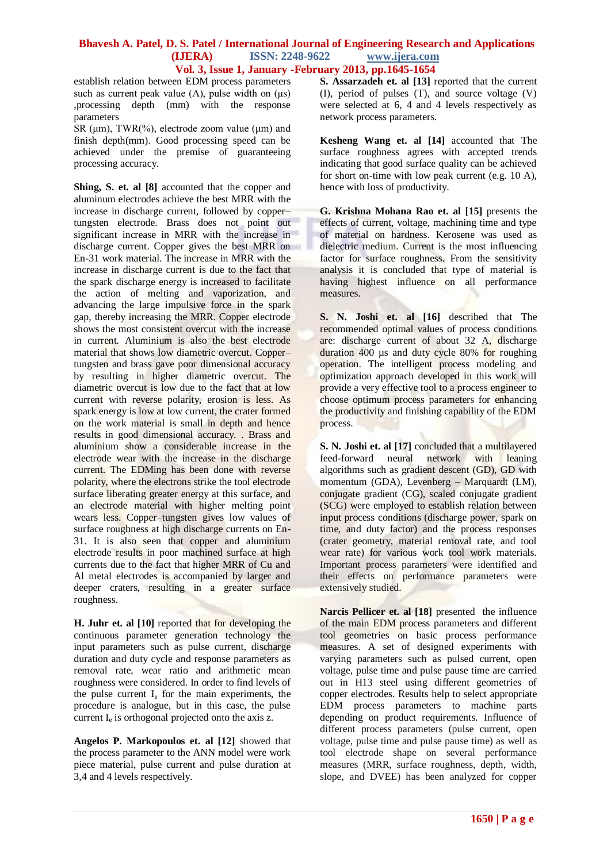establish relation between EDM process parameters such as current peak value (A), pulse width on  $(\mu s)$ ,processing depth (mm) with the response parameters

SR ( $\mu$ m), TWR(%), electrode zoom value ( $\mu$ m) and finish depth(mm). Good processing speed can be achieved under the premise of guaranteeing processing accuracy.

**Shing, S. et. al [8]** accounted that the copper and aluminum electrodes achieve the best MRR with the increase in discharge current, followed by copper– tungsten electrode. Brass does not point out significant increase in MRR with the increase in discharge current. Copper gives the best MRR on En-31 work material. The increase in MRR with the increase in discharge current is due to the fact that the spark discharge energy is increased to facilitate the action of melting and vaporization, and advancing the large impulsive force in the spark gap, thereby increasing the MRR. Copper electrode shows the most consistent overcut with the increase in current. Aluminium is also the best electrode material that shows low diametric overcut. Copper– tungsten and brass gave poor dimensional accuracy by resulting in higher diametric overcut. The diametric overcut is low due to the fact that at low current with reverse polarity, erosion is less. As spark energy is low at low current, the crater formed on the work material is small in depth and hence results in good dimensional accuracy. . Brass and aluminium show a considerable increase in the electrode wear with the increase in the discharge current. The EDMing has been done with reverse polarity, where the electrons strike the tool electrode surface liberating greater energy at this surface, and an electrode material with higher melting point wears less. Copper–tungsten gives low values of surface roughness at high discharge currents on En-31. It is also seen that copper and aluminium electrode results in poor machined surface at high currents due to the fact that higher MRR of Cu and Al metal electrodes is accompanied by larger and deeper craters, resulting in a greater surface roughness.

**H. Juhr et. al [10]** reported that for developing the continuous parameter generation technology the input parameters such as pulse current, discharge duration and duty cycle and response parameters as removal rate, wear ratio and arithmetic mean roughness were considered. In order to find levels of the pulse current  $I<sub>e</sub>$  for the main experiments, the procedure is analogue, but in this case, the pulse current  $I_e$  is orthogonal projected onto the axis z.

**Angelos P. Markopoulos et. al [12]** showed that the process parameter to the ANN model were work piece material, pulse current and pulse duration at 3,4 and 4 levels respectively.

**S. Assarzadeh et. al [13]** reported that the current (I), period of pulses (T), and source voltage (V) were selected at 6, 4 and 4 levels respectively as network process parameters.

**Kesheng Wang et. al [14]** accounted that The surface roughness agrees with accepted trends indicating that good surface quality can be achieved for short on-time with low peak current (e.g. 10 A), hence with loss of productivity.

**G. Krishna Mohana Rao et. al [15]** presents the effects of current, voltage, machining time and type of material on hardness. Kerosene was used as dielectric medium. Current is the most influencing factor for surface roughness. From the sensitivity analysis it is concluded that type of material is having highest influence on all performance measures.

**S. N. Joshi et. al [16]** described that The recommended optimal values of process conditions are: discharge current of about 32 A, discharge duration 400 µs and duty cycle 80% for roughing operation. The intelligent process modeling and optimization approach developed in this work will provide a very effective tool to a process engineer to choose optimum process parameters for enhancing the productivity and finishing capability of the EDM process.

**S. N. Joshi et. al [17]** concluded that a multilayered feed-forward neural network with leaning algorithms such as gradient descent (GD), GD with momentum (GDA), Levenberg – Marquardt (LM), conjugate gradient (CG), scaled conjugate gradient (SCG) were employed to establish relation between input process conditions (discharge power, spark on time, and duty factor) and the process responses (crater geometry, material removal rate, and tool wear rate) for various work tool work materials. Important process parameters were identified and their effects on performance parameters were extensively studied.

**Narcis Pellicer et. al [18]** presented the influence of the main EDM process parameters and different tool geometries on basic process performance measures. A set of designed experiments with varying parameters such as pulsed current, open voltage, pulse time and pulse pause time are carried out in H13 steel using different geometries of copper electrodes. Results help to select appropriate EDM process parameters to machine parts depending on product requirements. Influence of different process parameters (pulse current, open voltage, pulse time and pulse pause time) as well as tool electrode shape on several performance measures (MRR, surface roughness, depth, width, slope, and DVEE) has been analyzed for copper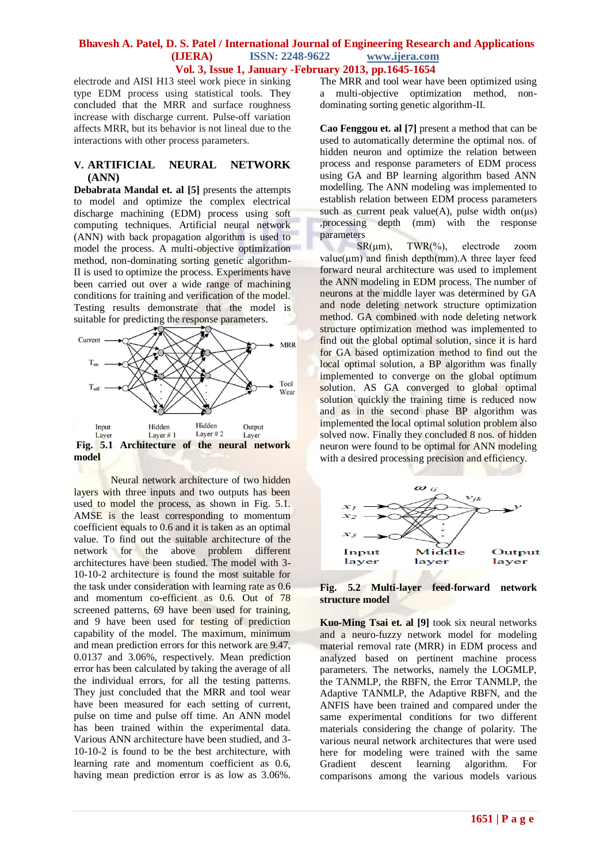electrode and AISI H13 steel work piece in sinking type EDM process using statistical tools. They concluded that the MRR and surface roughness increase with discharge current. Pulse-off variation affects MRR, but its behavior is not lineal due to the interactions with other process parameters.

#### **V. ARTIFICIAL NEURAL NETWORK (ANN)**

**Debabrata Mandal et. al [5]** presents the attempts to model and optimize the complex electrical discharge machining (EDM) process using soft computing techniques. Artificial neural network (ANN) with back propagation algorithm is used to model the process. A multi-objective optimization method, non-dominating sorting genetic algorithm-II is used to optimize the process. Experiments have been carried out over a wide range of machining conditions for training and verification of the model. Testing results demonstrate that the model is suitable for predicting the response parameters.



Neural network architecture of two hidden layers with three inputs and two outputs has been used to model the process, as shown in Fig. 5.1. AMSE is the least corresponding to momentum coefficient equals to 0.6 and it is taken as an optimal value. To find out the suitable architecture of the network for the above problem different architectures have been studied. The model with 3- 10-10-2 architecture is found the most suitable for the task under consideration with learning rate as 0.6 and momentum co-efficient as 0.6. Out of 78 screened patterns, 69 have been used for training, and 9 have been used for testing of prediction capability of the model. The maximum, minimum and mean prediction errors for this network are 9.47, 0.0137 and 3.06%, respectively. Mean prediction error has been calculated by taking the average of all the individual errors, for all the testing patterns. They just concluded that the MRR and tool wear have been measured for each setting of current, pulse on time and pulse off time. An ANN model has been trained within the experimental data. Various ANN architecture have been studied, and 3- 10-10-2 is found to be the best architecture, with learning rate and momentum coefficient as 0.6, having mean prediction error is as low as 3.06%. The MRR and tool wear have been optimized using a multi-objective optimization method, nondominating sorting genetic algorithm-II.

**Cao Fenggou et. al [7]** present a method that can be used to automatically determine the optimal nos. of hidden neuron and optimize the relation between process and response parameters of EDM process using GA and BP learning algorithm based ANN modelling. The ANN modeling was implemented to establish relation between EDM process parameters such as current peak value(A), pulse width on( $\mu$ s) ,processing depth (mm) with the response parameters

SR(um), TWR(%), electrode zoom  $value(\mu m)$  and finish depth(mm). A three layer feed forward neural architecture was used to implement the ANN modeling in EDM process. The number of neurons at the middle layer was determined by GA and node deleting network structure optimization method. GA combined with node deleting network structure optimization method was implemented to find out the global optimal solution, since it is hard for GA based optimization method to find out the local optimal solution, a BP algorithm was finally implemented to converge on the global optimum solution. AS GA converged to global optimal solution quickly the training time is reduced now and as in the second phase BP algorithm was implemented the local optimal solution problem also solved now. Finally they concluded 8 nos. of hidden neuron were found to be optimal for ANN modeling with a desired processing precision and efficiency.





**Kuo-Ming Tsai et. al [9]** took six neural networks and a neuro-fuzzy network model for modeling material removal rate (MRR) in EDM process and analyzed based on pertinent machine process parameters. The networks, namely the LOGMLP, the TANMLP, the RBFN, the Error TANMLP, the Adaptive TANMLP, the Adaptive RBFN, and the ANFIS have been trained and compared under the same experimental conditions for two different materials considering the change of polarity. The various neural network architectures that were used here for modeling were trained with the same Gradient descent learning algorithm. For comparisons among the various models various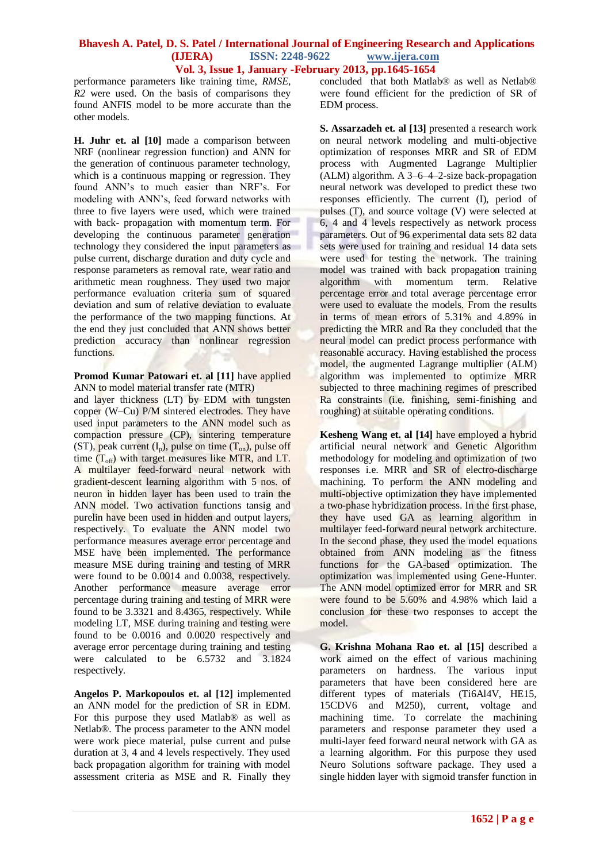performance parameters like training time, *RMSE*, *R2* were used. On the basis of comparisons they found ANFIS model to be more accurate than the other models.

**H. Juhr et. al [10]** made a comparison between NRF (nonlinear regression function) and ANN for the generation of continuous parameter technology, which is a continuous mapping or regression. They found ANN's to much easier than NRF's. For modeling with ANN's, feed forward networks with three to five layers were used, which were trained with back- propagation with momentum term. For developing the continuous parameter generation technology they considered the input parameters as pulse current, discharge duration and duty cycle and response parameters as removal rate, wear ratio and arithmetic mean roughness. They used two major performance evaluation criteria sum of squared deviation and sum of relative deviation to evaluate the performance of the two mapping functions. At the end they just concluded that ANN shows better prediction accuracy than nonlinear regression functions.

#### **Promod Kumar Patowari et. al [11]** have applied ANN to model material transfer rate (MTR)

and layer thickness (LT) by EDM with tungsten copper (W–Cu) P/M sintered electrodes. They have used input parameters to the ANN model such as compaction pressure (CP), sintering temperature (ST), peak current  $(I_p)$ , pulse on time  $(T_{op})$ , pulse off time  $(T<sub>off</sub>)$  with target measures like MTR, and LT. A multilayer feed-forward neural network with gradient-descent learning algorithm with 5 nos. of neuron in hidden layer has been used to train the ANN model. Two activation functions tansig and purelin have been used in hidden and output layers, respectively. To evaluate the ANN model two performance measures average error percentage and MSE have been implemented. The performance measure MSE during training and testing of MRR were found to be 0.0014 and 0.0038, respectively. Another performance measure average error percentage during training and testing of MRR were found to be 3.3321 and 8.4365, respectively. While modeling LT, MSE during training and testing were found to be 0.0016 and 0.0020 respectively and average error percentage during training and testing were calculated to be 6.5732 and 3.1824 respectively.

**Angelos P. Markopoulos et. al [12]** implemented an ANN model for the prediction of SR in EDM. For this purpose they used Matlab® as well as Netlab®. The process parameter to the ANN model were work piece material, pulse current and pulse duration at 3, 4 and 4 levels respectively. They used back propagation algorithm for training with model assessment criteria as MSE and R. Finally they concluded that both Matlab® as well as Netlab® were found efficient for the prediction of SR of EDM process.

**S. Assarzadeh et. al [13]** presented a research work on neural network modeling and multi-objective optimization of responses MRR and SR of EDM process with Augmented Lagrange Multiplier (ALM) algorithm. A 3–6–4–2-size back-propagation neural network was developed to predict these two responses efficiently. The current (I), period of pulses (T), and source voltage (V) were selected at 6, 4 and 4 levels respectively as network process parameters. Out of 96 experimental data sets 82 data sets were used for training and residual 14 data sets were used for testing the network. The training model was trained with back propagation training algorithm with momentum term. Relative percentage error and total average percentage error were used to evaluate the models. From the results in terms of mean errors of 5.31% and 4.89% in predicting the MRR and Ra they concluded that the neural model can predict process performance with reasonable accuracy. Having established the process model, the augmented Lagrange multiplier (ALM) algorithm was implemented to optimize MRR subjected to three machining regimes of prescribed Ra constraints (i.e. finishing, semi-finishing and roughing) at suitable operating conditions.

**Kesheng Wang et. al [14]** have employed a hybrid artificial neural network and Genetic Algorithm methodology for modeling and optimization of two responses i.e. MRR and SR of electro-discharge machining. To perform the ANN modeling and multi-objective optimization they have implemented a two-phase hybridization process. In the first phase, they have used GA as learning algorithm in multilayer feed-forward neural network architecture. In the second phase, they used the model equations obtained from ANN modeling as the fitness functions for the GA-based optimization. The optimization was implemented using Gene-Hunter. The ANN model optimized error for MRR and SR were found to be 5.60% and 4.98% which laid a conclusion for these two responses to accept the model.

**G. Krishna Mohana Rao et. al [15]** described a work aimed on the effect of various machining parameters on hardness. The various input parameters that have been considered here are different types of materials (Ti6Al4V, HE15, 15CDV6 and M250), current, voltage and machining time. To correlate the machining parameters and response parameter they used a multi-layer feed forward neural network with GA as a learning algorithm. For this purpose they used Neuro Solutions software package. They used a single hidden layer with sigmoid transfer function in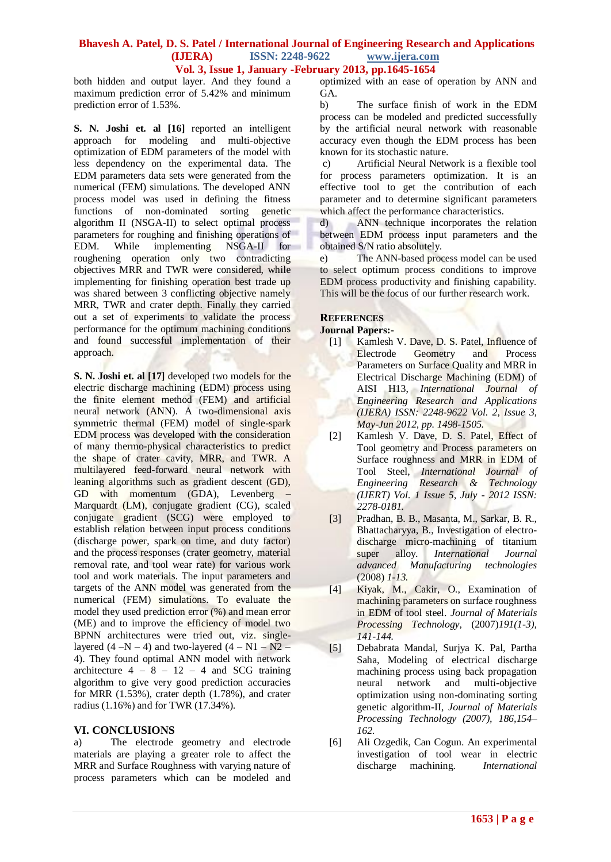both hidden and output layer. And they found a maximum prediction error of 5.42% and minimum prediction error of 1.53%.

**S. N. Joshi et. al [16]** reported an intelligent approach for modeling and multi-objective optimization of EDM parameters of the model with less dependency on the experimental data. The EDM parameters data sets were generated from the numerical (FEM) simulations. The developed ANN process model was used in defining the fitness functions of non-dominated sorting genetic algorithm II (NSGA-II) to select optimal process parameters for roughing and finishing operations of EDM. While implementing NSGA-II for roughening operation only two contradicting objectives MRR and TWR were considered, while implementing for finishing operation best trade up was shared between 3 conflicting objective namely MRR, TWR and crater depth. Finally they carried out a set of experiments to validate the process performance for the optimum machining conditions and found successful implementation of their approach.

**S. N. Joshi et. al [17]** developed two models for the electric discharge machining (EDM) process using the finite element method (FEM) and artificial neural network (ANN). A two-dimensional axis symmetric thermal (FEM) model of single-spark EDM process was developed with the consideration of many thermo-physical characteristics to predict the shape of crater cavity, MRR, and TWR. A multilayered feed-forward neural network with leaning algorithms such as gradient descent (GD), GD with momentum (GDA), Levenberg Marquardt (LM), conjugate gradient (CG), scaled conjugate gradient (SCG) were employed to establish relation between input process conditions (discharge power, spark on time, and duty factor) and the process responses (crater geometry, material removal rate, and tool wear rate) for various work tool and work materials. The input parameters and targets of the ANN model was generated from the numerical (FEM) simulations. To evaluate the model they used prediction error (%) and mean error (ME) and to improve the efficiency of model two BPNN architectures were tried out, viz. singlelayered  $(4 - N - 4)$  and two-layered  $(4 - N1 - N2 -$ 4). They found optimal ANN model with network architecture  $4 - 8 - 12 - 4$  and SCG training algorithm to give very good prediction accuracies for MRR (1.53%), crater depth (1.78%), and crater radius (1.16%) and for TWR (17.34%).

# **VI. CONCLUSIONS**<br>a) The electrode

The electrode geometry and electrode materials are playing a greater role to affect the MRR and Surface Roughness with varying nature of process parameters which can be modeled and

optimized with an ease of operation by ANN and GA.

b) The surface finish of work in the EDM process can be modeled and predicted successfully by the artificial neural network with reasonable accuracy even though the EDM process has been known for its stochastic nature.

c) Artificial Neural Network is a flexible tool for process parameters optimization. It is an effective tool to get the contribution of each parameter and to determine significant parameters which affect the performance characteristics.

d) ANN technique incorporates the relation between EDM process input parameters and the obtained S/N ratio absolutely.

e) The ANN-based process model can be used to select optimum process conditions to improve EDM process productivity and finishing capability. This will be the focus of our further research work.

#### **REFERENCES**

#### **Journal Papers:-**

- [1] Kamlesh V. Dave, D. S. Patel, Influence of Electrode Geometry and Process Parameters on Surface Quality and MRR in Electrical Discharge Machining (EDM) of AISI H13, *International Journal of Engineering Research and Applications (IJERA) ISSN: 2248-9622 Vol. 2, Issue 3, May-Jun 2012, pp. 1498-1505.*
- [2] Kamlesh V. Dave, D. S. Patel, Effect of Tool geometry and Process parameters on Surface roughness and MRR in EDM of Tool Steel, *International Journal of Engineering Research & Technology (IJERT) Vol. 1 Issue 5, July - 2012 ISSN: 2278-0181.*
- [3] Pradhan, B. B., Masanta, M., Sarkar, B. R., Bhattacharyya, B., Investigation of electrodischarge micro-machining of titanium super alloy. *International Journal advanced Manufacturing technologies*  (2008) *1-13.*
- [4] Kiyak, M., Cakir, O., Examination of machining parameters on surface roughness in EDM of tool steel. *Journal of Materials Processing Technology,* (2007)*191(1-3), 141-144.*
- [5] Debabrata Mandal, Surjya K. Pal, Partha Saha, Modeling of electrical discharge machining process using back propagation neural network and multi-objective optimization using non-dominating sorting genetic algorithm-II, *Journal of Materials Processing Technology (2007), 186,154– 162.*
- [6] Ali Ozgedik, Can Cogun. An experimental investigation of tool wear in electric discharge machining. *International*